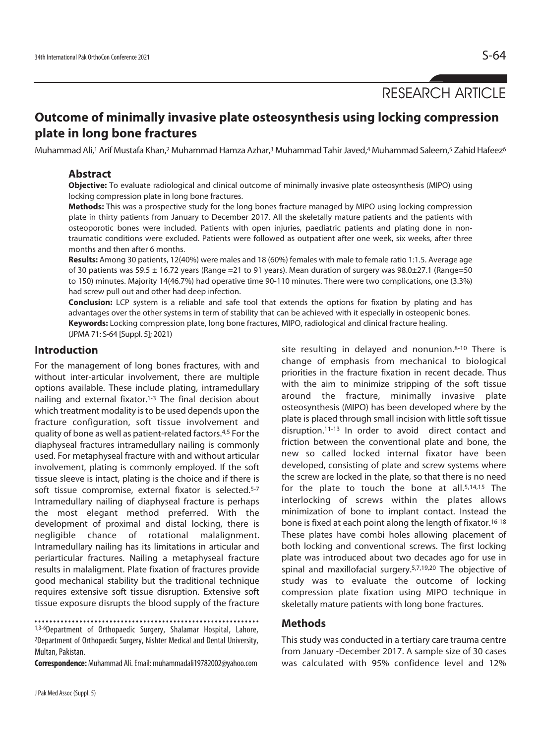# RESEARCH ARTICLE

# **Outcome of minimally invasive plate osteosynthesis using locking compression plate in long bone fractures**

Muhammad Ali,1 Arif Mustafa Khan,2 Muhammad Hamza Azhar,3 Muhammad Tahir Javed,4 Muhammad Saleem,5 Zahid Hafeez<sup>6</sup>

# **Abstract**

**Objective:** To evaluate radiological and clinical outcome of minimally invasive plate osteosynthesis (MIPO) using locking compression plate in long bone fractures.

**Methods:** This was a prospective study for the long bones fracture managed by MIPO using locking compression plate in thirty patients from January to December 2017. All the skeletally mature patients and the patients with osteoporotic bones were included. Patients with open injuries, paediatric patients and plating done in nontraumatic conditions were excluded. Patients were followed as outpatient after one week, six weeks, after three months and then after 6 months.

**Results:** Among 30 patients, 12(40%) were males and 18 (60%) females with male to female ratio 1:1.5. Average age of 30 patients was 59.5 ± 16.72 years (Range =21 to 91 years). Mean duration of surgery was 98.0±27.1 (Range=50 to 150) minutes. Majority 14(46.7%) had operative time 90-110 minutes. There were two complications, one (3.3%) had screw pull out and other had deep infection.

**Conclusion:** LCP system is a reliable and safe tool that extends the options for fixation by plating and has advantages over the other systems in term of stability that can be achieved with it especially in osteopenic bones. **Keywords:** Locking compression plate, long bone fractures, MIPO, radiological and clinical fracture healing. (JPMA 71: S-64 [Suppl. 5]; 2021)

# **Introduction**

For the management of long bones fractures, with and without inter-articular involvement, there are multiple options available. These include plating, intramedullary nailing and external fixator.<sup>1-3</sup> The final decision about which treatment modality is to be used depends upon the fracture configuration, soft tissue involvement and quality of bone as well as patient-related factors.4,5 For the diaphyseal fractures intramedullary nailing is commonly used. For metaphyseal fracture with and without articular involvement, plating is commonly employed. If the soft tissue sleeve is intact, plating is the choice and if there is soft tissue compromise, external fixator is selected.<sup>5-7</sup> Intramedullary nailing of diaphyseal fracture is perhaps the most elegant method preferred. With the development of proximal and distal locking, there is negligible chance of rotational malalignment. Intramedullary nailing has its limitations in articular and periarticular fractures. Nailing a metaphyseal fracture results in malaligment. Plate fixation of fractures provide good mechanical stability but the traditional technique requires extensive soft tissue disruption. Extensive soft tissue exposure disrupts the blood supply of the fracture

**Correspondence:** Muhammad Ali. Email: muhammadali19782002@yahoo.com

site resulting in delayed and nonunion.<sup>8-10</sup> There is change of emphasis from mechanical to biological priorities in the fracture fixation in recent decade. Thus with the aim to minimize stripping of the soft tissue around the fracture, minimally invasive plate osteosynthesis (MIPO) has been developed where by the plate is placed through small incision with little soft tissue disruption.11-13 In order to avoid direct contact and friction between the conventional plate and bone, the new so called locked internal fixator have been developed, consisting of plate and screw systems where the screw are locked in the plate, so that there is no need for the plate to touch the bone at all.5,14,15 The interlocking of screws within the plates allows minimization of bone to implant contact. Instead the bone is fixed at each point along the length of fixator.<sup>16-18</sup> These plates have combi holes allowing placement of both locking and conventional screws. The first locking plate was introduced about two decades ago for use in spinal and maxillofacial surgery.5,7,19,20 The objective of study was to evaluate the outcome of locking compression plate fixation using MIPO technique in skeletally mature patients with long bone fractures.

# **Methods**

This study was conducted in a tertiary care trauma centre from January -December 2017. A sample size of 30 cases was calculated with 95% confidence level and 12%

<sup>1,3-6</sup>Department of Orthopaedic Surgery, Shalamar Hospital, Lahore, 2Department of Orthopaedic Surgery, Nishter Medical and Dental University, Multan, Pakistan.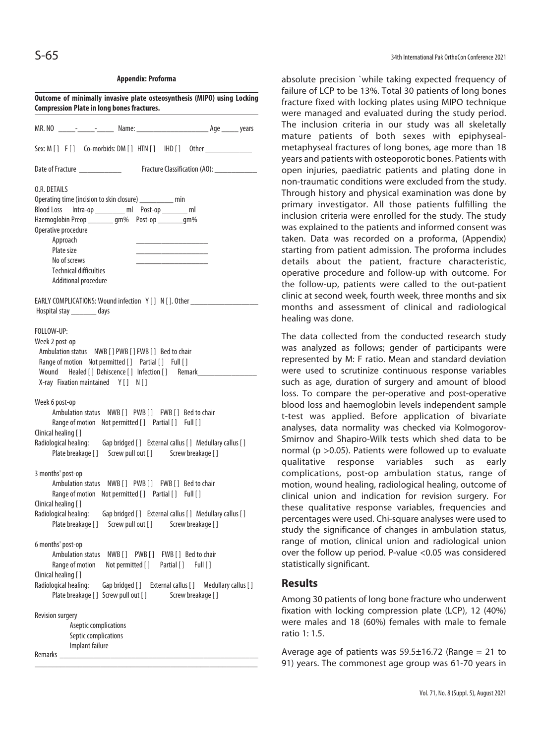### **Appendix: Proforma**

| Outcome of minimally invasive plate osteosynthesis (MIPO) using Locking<br><b>Compression Plate in long bones fractures.</b>                                                                                                                                                                                      |
|-------------------------------------------------------------------------------------------------------------------------------------------------------------------------------------------------------------------------------------------------------------------------------------------------------------------|
|                                                                                                                                                                                                                                                                                                                   |
| Sex: M [] F [] Co-morbids: DM [] HTN [] IHD [] Other ___________________________                                                                                                                                                                                                                                  |
|                                                                                                                                                                                                                                                                                                                   |
| O.R. DETAILS<br>Operating time (incision to skin closure) __________ min<br>Blood Loss Intra-op _________ ml Post-op _______ ml<br>Haemoglobin Preop ________ gm% Post-op _______ gm%<br>Operative procedure<br>Approach<br>Plate size<br>No of screws<br><b>Technical difficulties</b><br>Additional procedure   |
| EARLY COMPLICATIONS: Wound infection Y [ ] N [ ]. Other ______________<br>Hospital stay _________ days                                                                                                                                                                                                            |
| FOLLOW-UP:<br>Week 2 post-op<br>Ambulation status    NWB [ ] PWB [ ] FWB [ ] Bed to chair<br>Range of motion Not permitted [] Partial [] Full []<br>Wound Healed [] Dehiscence [] Infection [] Remark_______<br>X-ray Fixation maintained Y [] N []                                                               |
| Week 6 post-op<br>Ambulation status    NWB [] PWB [] FWB [] Bed to chair<br>Clinical healing []<br>Radiological healing: Gap bridged [] External callus [] Medullary callus []<br>Plate breakage [] Screw pull out [] Screw breakage []                                                                           |
| 3 months' post-op<br>Ambulation status NWB [] PWB [] FWB [] Bed to chair<br>Clinical healing []<br>Radiological healing: Gap bridged [] External callus [] Medullary callus []<br>Plate breakage [] Screw pull out [] Screw breakage []                                                                           |
| 6 months' post-op<br><b>Ambulation status</b><br>NWB [] PWB [] FWB [] Bed to chair<br>Not permitted []<br>Partial [] Full []<br>Range of motion<br>Clinical healing []<br>Radiological healing:<br>Gap bridged [] External callus [] Medullary callus []<br>Plate breakage [] Screw pull out [] Screw breakage [] |
| Revision surgery<br>Aseptic complications<br>Septic complications<br>Implant failure                                                                                                                                                                                                                              |

absolute precision `while taking expected frequency of failure of LCP to be 13%. Total 30 patients of long bones fracture fixed with locking plates using MIPO technique were managed and evaluated during the study period. The inclusion criteria in our study was all skeletally mature patients of both sexes with epiphysealmetaphyseal fractures of long bones, age more than 18 years and patients with osteoporotic bones. Patients with open injuries, paediatric patients and plating done in non-traumatic conditions were excluded from the study. Through history and physical examination was done by primary investigator. All those patients fulfilling the inclusion criteria were enrolled for the study. The study was explained to the patients and informed consent was taken. Data was recorded on a proforma, (Appendix) starting from patient admission. The proforma includes details about the patient, fracture characteristic, operative procedure and follow-up with outcome. For the follow-up, patients were called to the out-patient clinic at second week, fourth week, three months and six months and assessment of clinical and radiological healing was done.

The data collected from the conducted research study was analyzed as follows; gender of participants were represented by M: F ratio. Mean and standard deviation were used to scrutinize continuous response variables such as age, duration of surgery and amount of blood loss. To compare the per-operative and post-operative blood loss and haemoglobin levels independent sample t-test was applied. Before application of bivariate analyses, data normality was checked via Kolmogorov-Smirnov and Shapiro-Wilk tests which shed data to be normal (p >0.05). Patients were followed up to evaluate qualitative response variables such as early complications, post-op ambulation status, range of motion, wound healing, radiological healing, outcome of clinical union and indication for revision surgery. For these qualitative response variables, frequencies and percentages were used. Chi-square analyses were used to study the significance of changes in ambulation status, range of motion, clinical union and radiological union over the follow up period. P-value <0.05 was considered statistically significant.

# **Results**

Among 30 patients of long bone fracture who underwent fixation with locking compression plate (LCP), 12 (40%) were males and 18 (60%) females with male to female ratio 1: 1.5.

Average age of patients was  $59.5\pm16.72$  (Range = 21 to 91) years. The commonest age group was 61-70 years in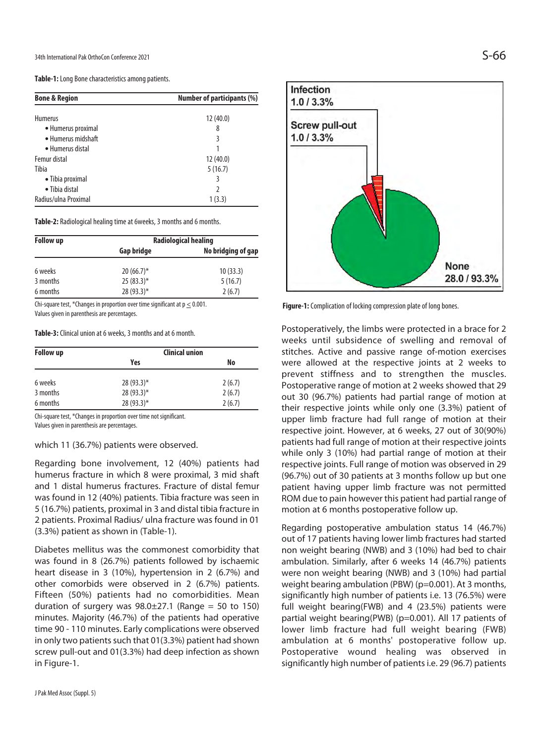**Table-1:** Long Bone characteristics among patients.

| <b>Bone &amp; Region</b> | Number of participants (%) |
|--------------------------|----------------------------|
| <b>Humerus</b>           | 12(40.0)                   |
| • Humerus proximal       | 8                          |
| • Humerus midshaft       | 3                          |
| • Humerus distal         |                            |
| Femur distal             | 12(40.0)                   |
| Tibia                    | 5(16.7)                    |
| • Tibia proximal         | 3                          |
| • Tibia distal           |                            |
| Radius/ulna Proximal     | 1(3.3)                     |

**Table-2:** Radiological healing time at 6weeks, 3 months and 6 months.

| <b>Follow up</b> | <b>Radiological healing</b> |                    |  |
|------------------|-----------------------------|--------------------|--|
|                  | Gap bridge                  | No bridging of gap |  |
| 6 weeks          | $20(66.7)$ *                | 10(33.3)           |  |
| 3 months         | $25(83.3)$ *                | 5(16.7)            |  |
| 6 months         | $28(93.3)$ *                | 2(6.7)             |  |

Chi-square test, \*Changes in proportion over time significant at  $p \leq 0.001$ . Values given in parenthesis are percentages.

**Table-3:** Clinical union at 6 weeks, 3 months and at 6 month.

| <b>Follow up</b> | <b>Clinical union</b> |        |
|------------------|-----------------------|--------|
|                  | Yes                   | No     |
| 6 weeks          | $28(93.3)$ *          | 2(6.7) |
| 3 months         | $28(93.3)$ *          | 2(6.7) |
| 6 months         | $28(93.3)$ *          | 2(6.7) |

Chi-square test, \*Changes in proportion over time not significant. Values given in parenthesis are percentages.

which 11 (36.7%) patients were observed.

Regarding bone involvement, 12 (40%) patients had humerus fracture in which 8 were proximal, 3 mid shaft and 1 distal humerus fractures. Fracture of distal femur was found in 12 (40%) patients. Tibia fracture was seen in 5 (16.7%) patients, proximal in 3 and distal tibia fracture in 2 patients. Proximal Radius/ ulna fracture was found in 01 (3.3%) patient as shown in (Table-1).

Diabetes mellitus was the commonest comorbidity that was found in 8 (26.7%) patients followed by ischaemic heart disease in 3 (10%), hypertension in 2 (6.7%) and other comorbids were observed in 2 (6.7%) patients. Fifteen (50%) patients had no comorbidities. Mean duration of surgery was  $98.0 \pm 27.1$  (Range = 50 to 150) minutes. Majority (46.7%) of the patients had operative time 90 - 110 minutes. Early complications were observed in only two patients such that 01(3.3%) patient had shown screw pull-out and 01(3.3%) had deep infection as shown in Figure-1.



**Figure-1:** Complication of locking compression plate of long bones.

Postoperatively, the limbs were protected in a brace for 2 weeks until subsidence of swelling and removal of stitches. Active and passive range of-motion exercises were allowed at the respective joints at 2 weeks to prevent stiffness and to strengthen the muscles. Postoperative range of motion at 2 weeks showed that 29 out 30 (96.7%) patients had partial range of motion at their respective joints while only one (3.3%) patient of upper limb fracture had full range of motion at their respective joint. However, at 6 weeks, 27 out of 30(90%) patients had full range of motion at their respective joints while only 3 (10%) had partial range of motion at their respective joints. Full range of motion was observed in 29 (96.7%) out of 30 patients at 3 months follow up but one patient having upper limb fracture was not permitted ROM due to pain however this patient had partial range of motion at 6 months postoperative follow up.

Regarding postoperative ambulation status 14 (46.7%) out of 17 patients having lower limb fractures had started non weight bearing (NWB) and 3 (10%) had bed to chair ambulation. Similarly, after 6 weeks 14 (46.7%) patients were non weight bearing (NWB) and 3 (10%) had partial weight bearing ambulation (PBW) (p=0.001). At 3 months, significantly high number of patients i.e. 13 (76.5%) were full weight bearing(FWB) and 4 (23.5%) patients were partial weight bearing(PWB) (p=0.001). All 17 patients of lower limb fracture had full weight bearing (FWB) ambulation at 6 months' postoperative follow up. Postoperative wound healing was observed in significantly high number of patients i.e. 29 (96.7) patients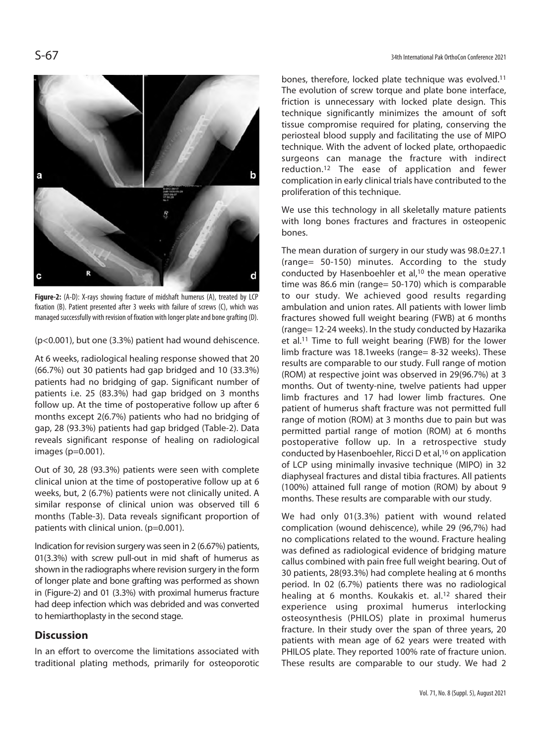

**Figure-2:** (A-D): X-rays showing fracture of midshaft humerus (A), treated by LCP fixation (B). Patient presented after 3 weeks with failure of screws (C), which was managed successfully with revision of fixation with longer plate and bone grafting (D).

(p<0.001), but one (3.3%) patient had wound dehiscence.

At 6 weeks, radiological healing response showed that 20 (66.7%) out 30 patients had gap bridged and 10 (33.3%) patients had no bridging of gap. Significant number of patients i.e. 25 (83.3%) had gap bridged on 3 months follow up. At the time of postoperative follow up after 6 months except 2(6.7%) patients who had no bridging of gap, 28 (93.3%) patients had gap bridged (Table-2). Data reveals significant response of healing on radiological images (p=0.001).

Out of 30, 28 (93.3%) patients were seen with complete clinical union at the time of postoperative follow up at 6 weeks, but, 2 (6.7%) patients were not clinically united. A similar response of clinical union was observed till 6 months (Table-3). Data reveals significant proportion of patients with clinical union. (p=0.001).

Indication for revision surgery was seen in 2 (6.67%) patients, 01(3.3%) with screw pull-out in mid shaft of humerus as shown in the radiographs where revision surgery in the form of longer plate and bone grafting was performed as shown in (Figure-2) and 01 (3.3%) with proximal humerus fracture had deep infection which was debrided and was converted to hemiarthoplasty in the second stage.

# **Discussion**

In an effort to overcome the limitations associated with traditional plating methods, primarily for osteoporotic bones, therefore, locked plate technique was evolved.11 The evolution of screw torque and plate bone interface, friction is unnecessary with locked plate design. This technique significantly minimizes the amount of soft tissue compromise required for plating, conserving the periosteal blood supply and facilitating the use of MIPO technique. With the advent of locked plate, orthopaedic surgeons can manage the fracture with indirect reduction.12 The ease of application and fewer complication in early clinical trials have contributed to the proliferation of this technique.

We use this technology in all skeletally mature patients with long bones fractures and fractures in osteopenic bones.

The mean duration of surgery in our study was 98.0±27.1 (range= 50-150) minutes. According to the study conducted by Hasenboehler et al,<sup>10</sup> the mean operative time was 86.6 min (range= 50-170) which is comparable to our study. We achieved good results regarding ambulation and union rates. All patients with lower limb fractures showed full weight bearing (FWB) at 6 months (range= 12-24 weeks). In the study conducted by Hazarika et al.11 Time to full weight bearing (FWB) for the lower limb fracture was 18.1weeks (range= 8-32 weeks). These results are comparable to our study. Full range of motion (ROM) at respective joint was observed in 29(96.7%) at 3 months. Out of twenty-nine, twelve patients had upper limb fractures and 17 had lower limb fractures. One patient of humerus shaft fracture was not permitted full range of motion (ROM) at 3 months due to pain but was permitted partial range of motion (ROM) at 6 months postoperative follow up. In a retrospective study conducted by Hasenboehler, Ricci D et al,16 on application of LCP using minimally invasive technique (MIPO) in 32 diaphyseal fractures and distal tibia fractures. All patients (100%) attained full range of motion (ROM) by about 9 months. These results are comparable with our study.

We had only 01(3.3%) patient with wound related complication (wound dehiscence), while 29 (96,7%) had no complications related to the wound. Fracture healing was defined as radiological evidence of bridging mature callus combined with pain free full weight bearing. Out of 30 patients, 28(93.3%) had complete healing at 6 months period. In 02 (6.7%) patients there was no radiological healing at 6 months. Koukakis et. al.12 shared their experience using proximal humerus interlocking osteosynthesis (PHILOS) plate in proximal humerus fracture. In their study over the span of three years, 20 patients with mean age of 62 years were treated with PHILOS plate. They reported 100% rate of fracture union. These results are comparable to our study. We had 2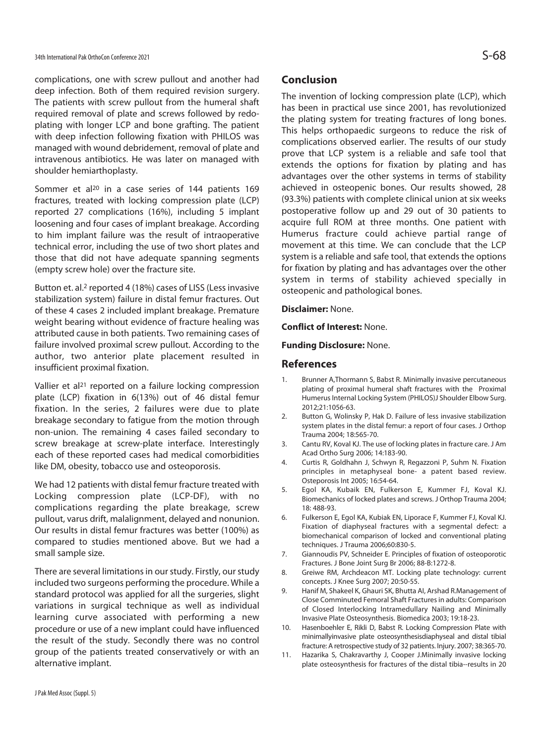complications, one with screw pullout and another had deep infection. Both of them required revision surgery. The patients with screw pullout from the humeral shaft required removal of plate and screws followed by redoplating with longer LCP and bone grafting. The patient with deep infection following fixation with PHILOS was managed with wound debridement, removal of plate and intravenous antibiotics. He was later on managed with shoulder hemiarthoplasty.

Sommer et al<sup>20</sup> in a case series of 144 patients 169 fractures, treated with locking compression plate (LCP) reported 27 complications (16%), including 5 implant loosening and four cases of implant breakage. According to him implant failure was the result of intraoperative technical error, including the use of two short plates and those that did not have adequate spanning segments (empty screw hole) over the fracture site.

Button et. al.2 reported 4 (18%) cases of LISS (Less invasive stabilization system) failure in distal femur fractures. Out of these 4 cases 2 included implant breakage. Premature weight bearing without evidence of fracture healing was attributed cause in both patients. Two remaining cases of failure involved proximal screw pullout. According to the author, two anterior plate placement resulted in insufficient proximal fixation.

Vallier et al<sup>21</sup> reported on a failure locking compression plate (LCP) fixation in 6(13%) out of 46 distal femur fixation. In the series, 2 failures were due to plate breakage secondary to fatigue from the motion through non-union. The remaining 4 cases failed secondary to screw breakage at screw-plate interface. Interestingly each of these reported cases had medical comorbidities like DM, obesity, tobacco use and osteoporosis.

We had 12 patients with distal femur fracture treated with Locking compression plate (LCP-DF), with no complications regarding the plate breakage, screw pullout, varus drift, malalignment, delayed and nonunion. Our results in distal femur fractures was better (100%) as compared to studies mentioned above. But we had a small sample size.

There are several limitations in our study. Firstly, our study included two surgeons performing the procedure. While a standard protocol was applied for all the surgeries, slight variations in surgical technique as well as individual learning curve associated with performing a new procedure or use of a new implant could have influenced the result of the study. Secondly there was no control group of the patients treated conservatively or with an alternative implant.

# **Conclusion**

The invention of locking compression plate (LCP), which has been in practical use since 2001, has revolutionized the plating system for treating fractures of long bones. This helps orthopaedic surgeons to reduce the risk of complications observed earlier. The results of our study prove that LCP system is a reliable and safe tool that extends the options for fixation by plating and has advantages over the other systems in terms of stability achieved in osteopenic bones. Our results showed, 28 (93.3%) patients with complete clinical union at six weeks postoperative follow up and 29 out of 30 patients to acquire full ROM at three months. One patient with Humerus fracture could achieve partial range of movement at this time. We can conclude that the LCP system is a reliable and safe tool, that extends the options for fixation by plating and has advantages over the other system in terms of stability achieved specially in osteopenic and pathological bones.

## **Disclaimer:** None.

**Conflict of Interest:** None.

**Funding Disclosure:** None.

# **References**

- 1. Brunner A,Thormann S, Babst R. Minimally invasive percutaneous plating of proximal humeral shaft fractures with the Proximal Humerus Internal Locking System (PHILOS)J Shoulder Elbow Surg. 2012;21:1056-63.
- 2. Button G, Wolinsky P, Hak D. Failure of less invasive stabilization system plates in the distal femur: a report of four cases. J Orthop Trauma 2004; 18:565-70.
- 3. Cantu RV, Koval KJ. The use of locking plates in fracture care. J Am Acad Ortho Surg 2006; 14:183-90.
- 4. Curtis R, Goldhahn J, Schwyn R, Regazzoni P, Suhm N. Fixation principles in metaphyseal bone- a patent based review. Osteporosis Int 2005; 16:54-64.
- 5. Egol KA, Kubaik EN, Fulkerson E, Kummer FJ, Koval KJ. Biomechanics of locked plates and screws. J Orthop Trauma 2004; 18: 488-93.
- 6. Fulkerson E, Egol KA, Kubiak EN, Liporace F, Kummer FJ, Koval KJ. Fixation of diaphyseal fractures with a segmental defect: a biomechanical comparison of locked and conventional plating techniques. J Trauma 2006;60:830-5.
- 7. Giannoudis PV, Schneider E. Principles of fixation of osteoporotic Fractures. J Bone Joint Surg Br 2006; 88-B:1272-8.
- 8. Greiwe RM, Archdeacon MT. Locking plate technology: current concepts. J Knee Surg 2007; 20:50-55.
- 9. Hanif M, Shakeel K, Ghauri SK, Bhutta AI, Arshad R.Management of Close Comminuted Femoral Shaft Fractures in adults: Comparison of Closed Interlocking Intramedullary Nailing and Minimally Invasive Plate Osteosynthesis. Biomedica 2003; 19:18-23.
- 10. Hasenboehler E, Rikli D, Babst R. Locking Compression Plate with minimallyinvasive plate osteosynthesisdiaphyseal and distal tibial fracture: A retrospective study of 32 patients. Injury. 2007; 38:365-70.
- 11. Hazarika S, Chakravarthy J, Cooper J.Minimally invasive locking plate osteosynthesis for fractures of the distal tibia--results in 20